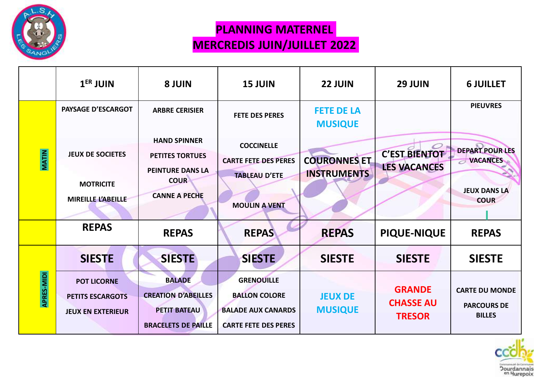

## **PLANNING MATERNEL MERCREDIS JUIN/JUILLET 2022**

|              | $1ER$ JUIN                                                                | 8 JUIN                                                                                                          | <b>15 JUIN</b>                                                                                        | 22 JUIN                                   | 29 JUIN                                            | <b>6 JUILLET</b>                                                                |
|--------------|---------------------------------------------------------------------------|-----------------------------------------------------------------------------------------------------------------|-------------------------------------------------------------------------------------------------------|-------------------------------------------|----------------------------------------------------|---------------------------------------------------------------------------------|
|              | <b>PAYSAGE D'ESCARGOT</b>                                                 | <b>ARBRE CERISIER</b>                                                                                           | <b>FETE DES PERES</b>                                                                                 | <b>FETE DE LA</b><br><b>MUSIQUE</b>       |                                                    | <b>PIEUVRES</b>                                                                 |
| <b>MATIN</b> | <b>JEUX DE SOCIETES</b><br><b>MOTRICITE</b><br>MIREILLE L'ABEILLE         | <b>HAND SPINNER</b><br><b>PETITES TORTUES</b><br><b>PEINTURE DANS LA</b><br><b>COUR</b><br><b>CANNE A PECHE</b> | <b>COCCINELLE</b><br><b>CARTE FETE DES PERES</b><br><b>TABLEAU D'ETE</b><br><b>MOULIN A VENT</b>      | <b>COURONNES ET</b><br><b>INSTRUMENTS</b> | <b>C'EST BIENTOT</b><br><b>LES VACANCES</b>        | <b>DEPART POUR LES</b><br><b>VACANCES</b><br><b>JEUX DANS LA</b><br><b>COUR</b> |
|              | <b>REPAS</b>                                                              | <b>REPAS</b>                                                                                                    | <b>REPAS</b>                                                                                          | <b>REPAS</b>                              | <b>PIQUE-NIQUE</b>                                 | <b>REPAS</b>                                                                    |
|              | <b>SIESTE</b>                                                             | <b>SIESTE</b>                                                                                                   | <b>SIESTE</b>                                                                                         | <b>SIESTE</b>                             | <b>SIESTE</b>                                      | <b>SIESTE</b>                                                                   |
| APRES-MIDI   | <b>POT LICORNE</b><br><b>PETITS ESCARGOTS</b><br><b>JEUX EN EXTERIEUR</b> | <b>BALADE</b><br><b>CREATION D'ABEILLES</b><br><b>PETIT BATEAU</b><br><b>BRACELETS DE PAILLE</b>                | <b>GRENOUILLE</b><br><b>BALLON COLORE</b><br><b>BALADE AUX CANARDS</b><br><b>CARTE FETE DES PERES</b> | <b>JEUX DE</b><br><b>MUSIQUE</b>          | <b>GRANDE</b><br><b>CHASSE AU</b><br><b>TRESOR</b> | <b>CARTE DU MONDE</b><br><b>PARCOURS DE</b><br><b>BILLES</b>                    |